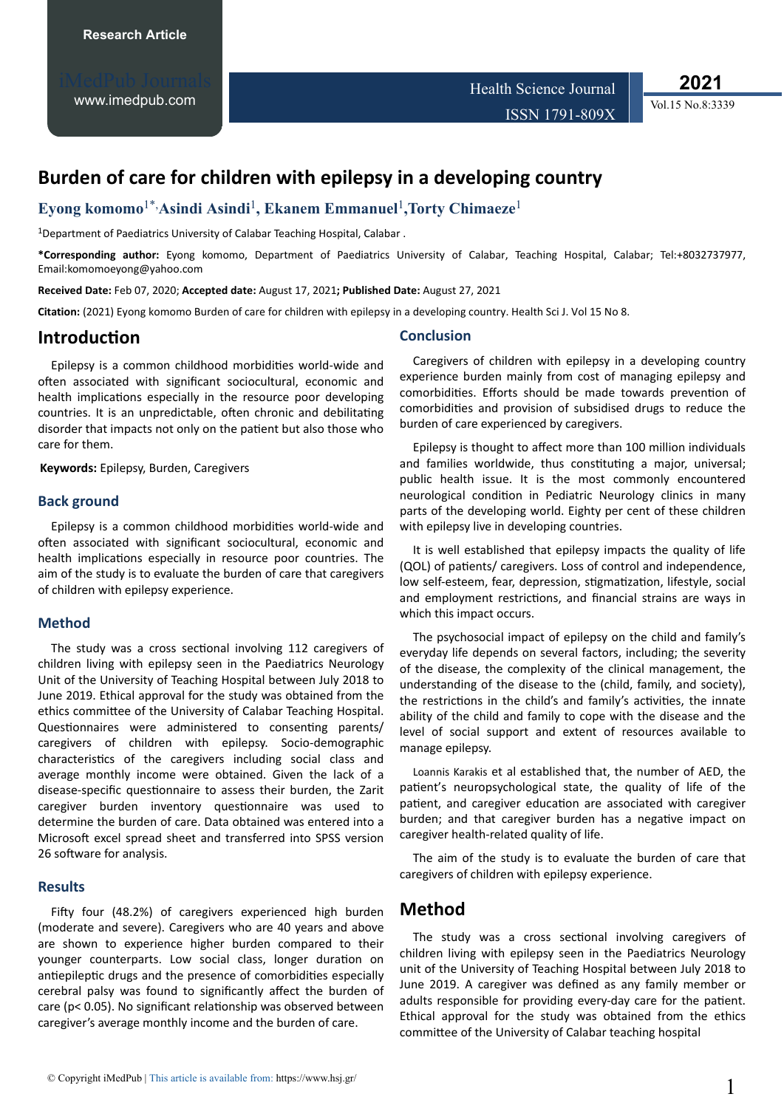[www.imedpub.com](http://www.imedpub.com/)

**2021**

Vol.15 No.8:3339

# **Burden of care for children with epilepsy in a developing country**

### **Eyong komomo**1\*,**Asindi Asindi**<sup>1</sup> **, Ekanem Emmanuel**<sup>1</sup> **,Torty Chimaeze**<sup>1</sup>

<sup>1</sup>Department of Paediatrics University of Calabar Teaching Hospital, Calabar.

**\*Corresponding author:** Eyong komomo, Department of Paediatrics University of Calabar, Teaching Hospital, Calabar; Tel:+8032737977, Email:komomoeyong@yahoo.com

**Received Date:** Feb 07, 2020; **Accepted date:** August 17, 2021**; Published Date:** August 27, 2021

**Citation:** (2021) Eyong komomo Burden of care for children with epilepsy in a developing country. Health Sci J. Vol 15 No 8.

### **Introduction**

Epilepsy is a common childhood morbidities world-wide and often associated with significant sociocultural, economic and health implications especially in the resource poor developing countries. It is an unpredictable, often chronic and debilitating disorder that impacts not only on the patient but also those who care for them.

**Keywords:** Epilepsy, Burden, Caregivers

#### **Back ground**

Epilepsy is a common childhood morbidities world-wide and often associated with significant sociocultural, economic and health implications especially in resource poor countries. The aim of the study is to evaluate the burden of care that caregivers of children with epilepsy experience.

#### **Method**

The study was a cross sectional involving 112 caregivers of children living with epilepsy seen in the Paediatrics Neurology Unit of the University of Teaching Hospital between July 2018 to June 2019. Ethical approval for the study was obtained from the ethics committee of the University of Calabar Teaching Hospital. Questionnaires were administered to consenting parents/ caregivers of children with epilepsy. Socio-demographic characteristics of the caregivers including social class and average monthly income were obtained. Given the lack of a disease-specific questionnaire to assess their burden, the Zarit caregiver burden inventory questionnaire was used to determine the burden of care. Data obtained was entered into a Microsoft excel spread sheet and transferred into SPSS version 26 software for analysis.

#### **Results**

Fifty four (48.2%) of caregivers experienced high burden (moderate and severe). Caregivers who are 40 years and above are shown to experience higher burden compared to their younger counterparts. Low social class, longer duration on antiepileptic drugs and the presence of comorbidities especially cerebral palsy was found to significantly affect the burden of care (p< 0.05). No significant relationship was observed between caregiver's average monthly income and the burden of care.

#### **Conclusion**

Caregivers of children with epilepsy in a developing country experience burden mainly from cost of managing epilepsy and comorbidities. Efforts should be made towards prevention of comorbidities and provision of subsidised drugs to reduce the burden of care experienced by caregivers.

Epilepsy is thought to affect more than 100 million individuals and families worldwide, thus constituting a major, universal; public health issue. It is the most commonly encountered neurological condition in Pediatric Neurology clinics in many parts of the developing world. Eighty per cent of these children with epilepsy live in developing countries.

It is well established that epilepsy impacts the quality of life (QOL) of patients/ caregivers. Loss of control and independence, low self-esteem, fear, depression, stigmatization, lifestyle, social and employment restrictions, and financial strains are ways in which this impact occurs.

The psychosocial impact of epilepsy on the child and family's everyday life depends on several factors, including; the severity of the disease, the complexity of the clinical management, the understanding of the disease to the (child, family, and society), the restrictions in the child's and family's activities, the innate ability of the child and family to cope with the disease and the level of social support and extent of resources available to manage epilepsy.

[Loannis Karakis](https://www.hindawi.com/46093274/) et al established that, the number of AED, the patient's neuropsychological state, the quality of life of the patient, and caregiver education are associated with caregiver burden; and that caregiver burden has a negative impact on caregiver health-related quality of life.

The aim of the study is to evaluate the burden of care that caregivers of children with epilepsy experience.

### **Method**

The study was a cross sectional involving caregivers of children living with epilepsy seen in the Paediatrics Neurology unit of the University of Teaching Hospital between July 2018 to June 2019. A caregiver was defined as any family member or adults responsible for providing every-day care for the patient. Ethical approval for the study was obtained from the ethics committee of the University of Calabar teaching hospital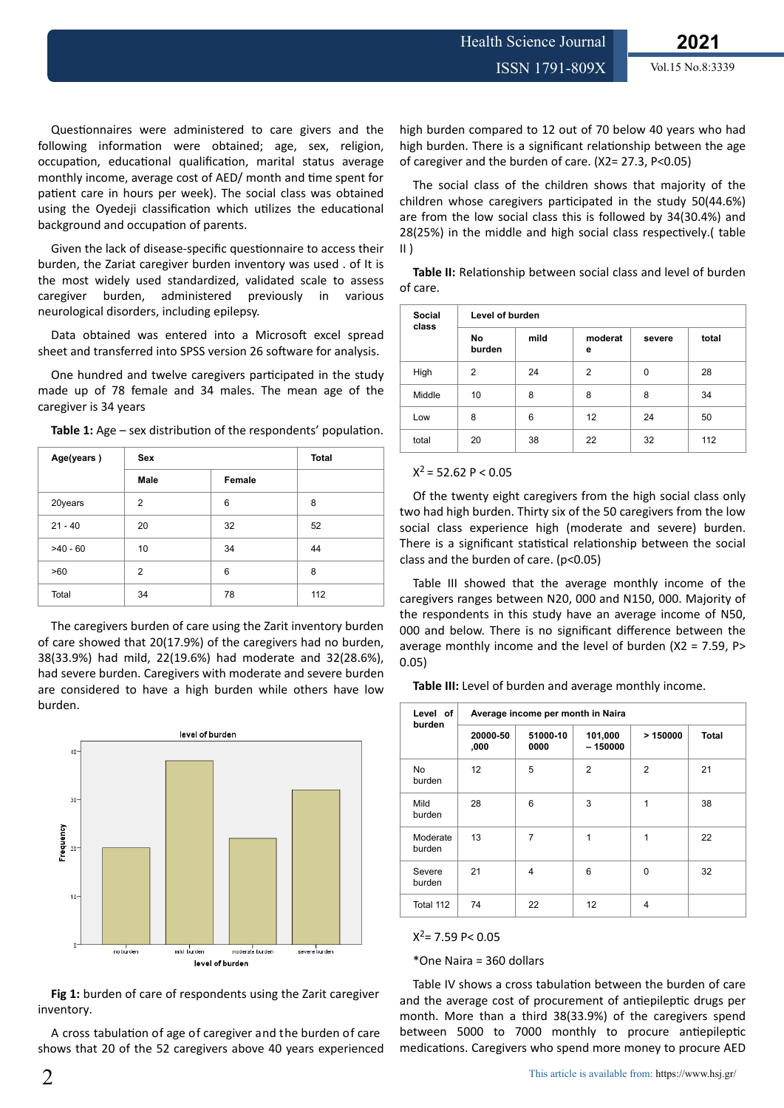Questionnaires were administered to care givers and the following information were obtained; age, sex, religion, occupation, educational qualification, marital status average monthly income, average cost of AED/ month and time spent for patient care in hours per week). The social class was obtained using the Oyedeji classification which utilizes the educational background and occupation of parents.

Given the lack of disease-specific questionnaire to access their burden, the Zariat caregiver burden inventory was used . of It is the most widely used standardized, validated scale to assess caregiver burden, administered previously in various neurological disorders, including epilepsy.

Data obtained was entered into a Microsoft excel spread sheet and transferred into SPSS version 26 software for analysis.

One hundred and twelve caregivers participated in the study made up of 78 female and 34 males. The mean age of the caregiver is 34 years

| Age(years) | <b>Sex</b>     | <b>Total</b> |     |
|------------|----------------|--------------|-----|
|            | Female<br>Male |              |     |
| 20years    | $\overline{2}$ | 6            | 8   |
| $21 - 40$  | 20             | 32           | 52  |
| $>40 - 60$ | 10             | 34           | 44  |
| >60        | $\overline{2}$ | 6            | 8   |
| Total      | 34             | 78           | 112 |

The caregivers burden of care using the Zarit inventory burden of care showed that 20(17.9%) of the caregivers had no burden, 38(33.9%) had mild, 22(19.6%) had moderate and 32(28.6%), had severe burden. Caregivers with moderate and severe burden are considered to have a high burden while others have low burden.



**Fig 1:** burden of care of respondents using the Zarit caregiver inventory.

A cross tabulation of age of caregiver and the burden of care shows that 20 of the 52 caregivers above 40 years experienced high burden compared to 12 out of 70 below 40 years who had high burden. There is a significant relationship between the age of caregiver and the burden of care. (X2= 27.3, P<0.05)

The social class of the children shows that majority of the children whose caregivers participated in the study 50(44.6%) are from the low social class this is followed by 34(30.4%) and 28(25%) in the middle and high social class respectively.( table  $II$ )

Table II: Relationship between social class and level of burden of care.

| Social<br>class | Level of burden |      |              |          |       |  |  |
|-----------------|-----------------|------|--------------|----------|-------|--|--|
|                 | No<br>burden    | mild | moderat<br>е | severe   | total |  |  |
| High            | 2               | 24   | 2            | $\Omega$ | 28    |  |  |
| Middle          | 10              | 8    | 8            | 8        | 34    |  |  |
| Low             | 8               | 6    | 12           | 24       | 50    |  |  |
| total           | 20              | 38   | 22           | 32       | 112   |  |  |

#### $X^2 = 52.62$  P < 0.05

Of the twenty eight caregivers from the high social class only two had high burden. Thirty six of the 50 caregivers from the low social class experience high (moderate and severe) burden. There is a significant statistical relationship between the social class and the burden of care. (p<0.05)

Table III showed that the average monthly income of the caregivers ranges between N20, 000 and N150, 000. Majority of the respondents in this study have an average income of N50, 000 and below. There is no significant difference between the average monthly income and the level of burden (X2 = 7.59, P> 0.05)

**Table III:** Level of burden and average monthly income.

| Level of<br>burden  | Average income per month in Naira |                  |                      |                |              |  |
|---------------------|-----------------------------------|------------------|----------------------|----------------|--------------|--|
|                     | 20000-50<br>,000                  | 51000-10<br>0000 | 101,000<br>$-150000$ | >150000        | <b>Total</b> |  |
| <b>No</b><br>burden | 12                                | 5                | $\overline{2}$       | $\overline{2}$ | 21           |  |
| Mild<br>burden      | 28                                | 6                | 3                    | $\mathbf{1}$   | 38           |  |
| Moderate<br>burden  | 13                                | $\overline{7}$   | 1                    | 1              | 22           |  |
| Severe<br>burden    | 21                                | $\overline{4}$   | 6                    | 0              | 32           |  |
| Total 112           | 74                                | 22               | 12                   | 4              |              |  |

 $X^2$  = 7.59 P < 0.05

\*One Naira = 360 dollars

Table IV shows a cross tabulation between the burden of care and the average cost of procurement of antiepileptic drugs per month. More than a third 38(33.9%) of the caregivers spend between 5000 to 7000 monthly to procure antiepileptic medications. Caregivers who spend more money to procure AED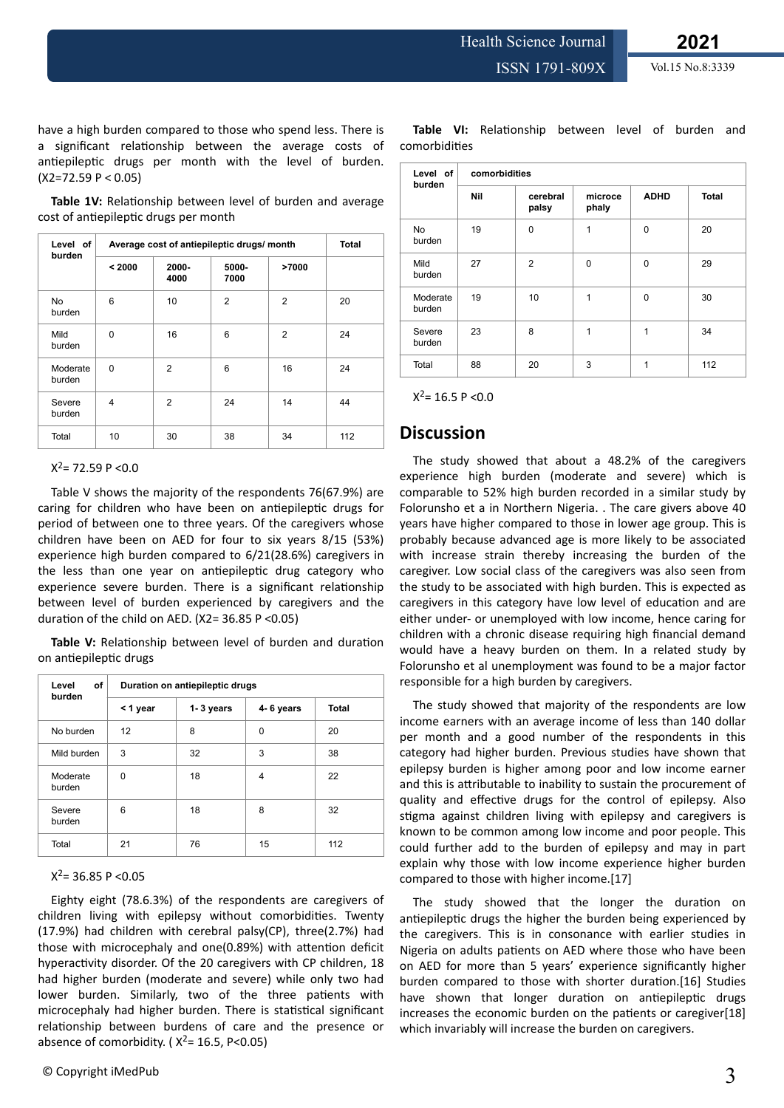Health Science Journal

have a high burden compared to those who spend less. There is a significant relationship between the average costs of antiepileptic drugs per month with the level of burden.  $(X2=72.59 P < 0.05)$ 

Table 1V: Relationship between level of burden and average cost of antiepileptic drugs per month

| Level of<br>burden | Average cost of antiepileptic drugs/ month |                |                |                | <b>Total</b> |
|--------------------|--------------------------------------------|----------------|----------------|----------------|--------------|
|                    | < 2000                                     | 2000-<br>4000  | 5000-<br>7000  | >7000          |              |
| No<br>burden       | 6                                          | 10             | $\overline{2}$ | $\overline{2}$ | 20           |
| Mild<br>burden     | $\Omega$                                   | 16             | 6              | $\overline{2}$ | 24           |
| Moderate<br>burden | $\Omega$                                   | $\overline{2}$ | 6              | 16             | 24           |
| Severe<br>burden   | 4                                          | $\overline{2}$ | 24             | 14             | 44           |
| Total              | 10                                         | 30             | 38             | 34             | 112          |

 $X^2$ = 72.59 P <0.0

Table V shows the majority of the respondents 76(67.9%) are caring for children who have been on antiepileptic drugs for period of between one to three years. Of the caregivers whose children have been on AED for four to six years 8/15 (53%) experience high burden compared to 6/21(28.6%) caregivers in the less than one year on antiepileptic drug category who experience severe burden. There is a significant relationship between level of burden experienced by caregivers and the duration of the child on AED. (X2=  $36.85$  P <0.05)

Table V: Relationship between level of burden and duration on antiepileptic drugs

| of<br>Level<br>burden | Duration on antiepileptic drugs |           |           |       |  |  |
|-----------------------|---------------------------------|-----------|-----------|-------|--|--|
|                       | < 1 year                        | 1-3 years | 4-6 years | Total |  |  |
| No burden             | 12                              | 8         | 0         | 20    |  |  |
| Mild burden           | 3                               | 32        | 3         | 38    |  |  |
| Moderate<br>burden    | $\Omega$                        | 18        | 4         | 22    |  |  |
| Severe<br>burden      | 6                               | 18        | 8         | 32    |  |  |
| Total                 | 21                              | 76        | 15        | 112   |  |  |

#### $X^2$ = 36.85 P < 0.05

Eighty eight (78.6.3%) of the respondents are caregivers of children living with epilepsy without comorbidities. Twenty (17.9%) had children with cerebral palsy(CP), three(2.7%) had those with microcephaly and one(0.89%) with attention deficit hyperactivity disorder. Of the 20 caregivers with CP children, 18 had higher burden (moderate and severe) while only two had lower burden. Similarly, two of the three patients with microcephaly had higher burden. There is statistical significant relationship between burdens of care and the presence or absence of comorbidity. ( $X^2$ = 16.5, P<0.05)

Table VI: Relationship between level of burden and comorbidities

| Level of<br>burden | comorbidities |                   |                  |             |              |  |
|--------------------|---------------|-------------------|------------------|-------------|--------------|--|
|                    | Nil           | cerebral<br>palsy | microce<br>phaly | <b>ADHD</b> | <b>Total</b> |  |
| No<br>burden       | 19            | $\Omega$          | 1                | $\Omega$    | 20           |  |
| Mild<br>burden     | 27            | 2                 | $\Omega$         | $\Omega$    | 29           |  |
| Moderate<br>burden | 19            | 10                | 1                | $\Omega$    | 30           |  |
| Severe<br>burden   | 23            | 8                 | 1                | 1           | 34           |  |
| Total              | 88            | 20                | 3                | 1           | 112          |  |

 $X^2$  = 16.5 P < 0.0

### **Discussion**

The study showed that about a 48.2% of the caregivers experience high burden (moderate and severe) which is comparable to 52% high burden recorded in a similar study by Folorunsho et a in Northern Nigeria. . The care givers above 40 years have higher compared to those in lower age group. This is probably because advanced age is more likely to be associated with increase strain thereby increasing the burden of the caregiver. Low social class of the caregivers was also seen from the study to be associated with high burden. This is expected as caregivers in this category have low level of education and are either under- or unemployed with low income, hence caring for children with a chronic disease requiring high financial demand would have a heavy burden on them. In a related study by Folorunsho et al unemployment was found to be a major factor responsible for a high burden by caregivers.

The study showed that majority of the respondents are low income earners with an average income of less than 140 dollar per month and a good number of the respondents in this category had higher burden. Previous studies have shown that epilepsy burden is higher among poor and low income earner and this is attributable to inability to sustain the procurement of quality and effective drugs for the control of epilepsy. Also stigma against children living with epilepsy and caregivers is known to be common among low income and poor people. This could further add to the burden of epilepsy and may in part explain why those with low income experience higher burden compared to those with higher income.[17]

The study showed that the longer the duration on antiepileptic drugs the higher the burden being experienced by the caregivers. This is in consonance with earlier studies in Nigeria on adults patients on AED where those who have been on AED for more than 5 years' experience significantly higher burden compared to those with shorter duration.[16] Studies have shown that longer duration on antiepileptic drugs increases the economic burden on the patients or caregiver[18] which invariably will increase the burden on caregivers.